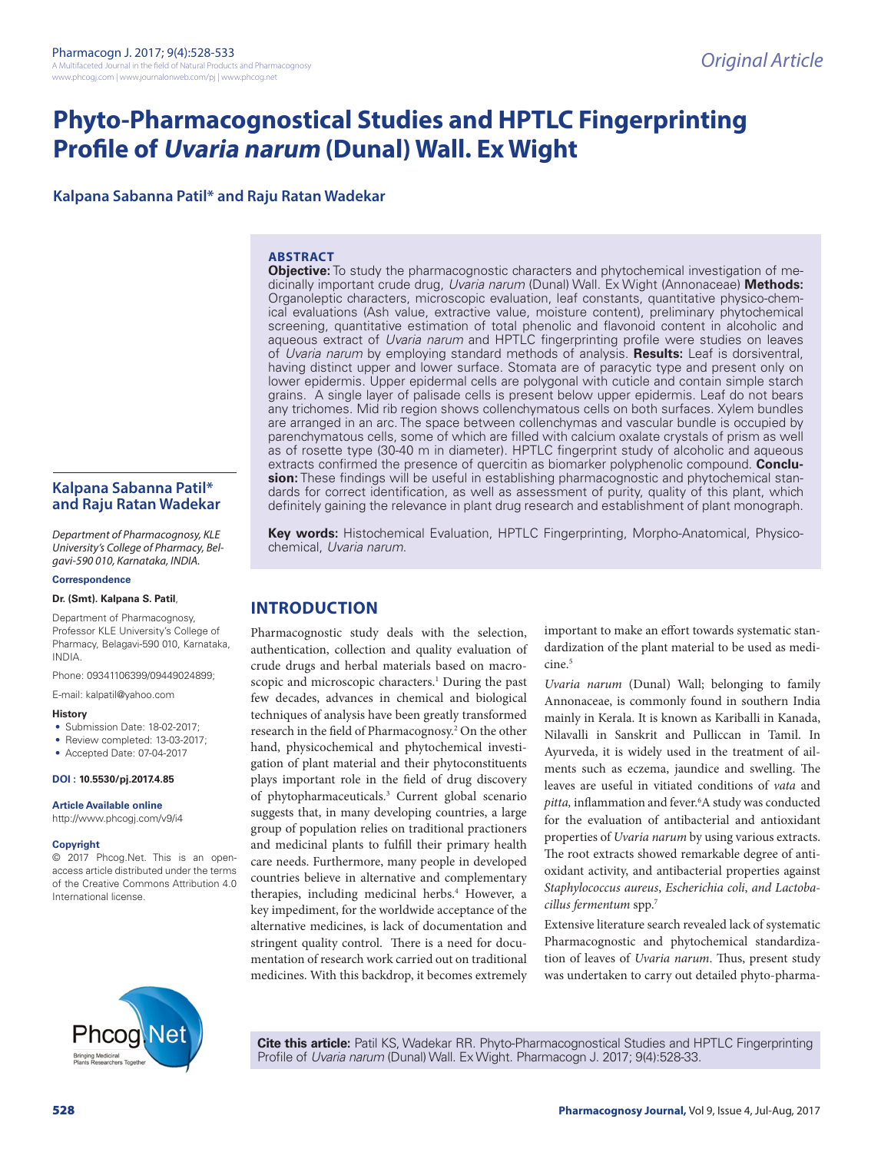# **Phyto-Pharmacognostical Studies and HPTLC Fingerprinting Profile of Uvaria narum (Dunal) Wall. Ex Wight**

**Kalpana Sabanna Patil\* and Raju Ratan Wadekar**

#### **ABSTRACT**

**Objective:** To study the pharmacognostic characters and phytochemical investigation of medicinally important crude drug, *Uvaria narum* (Dunal) Wall. Ex Wight (Annonaceae) **Methods:** Organoleptic characters, microscopic evaluation, leaf constants, quantitative physico-chemical evaluations (Ash value, extractive value, moisture content), preliminary phytochemical screening, quantitative estimation of total phenolic and flavonoid content in alcoholic and aqueous extract of *Uvaria narum* and HPTLC fingerprinting profile were studies on leaves of *Uvaria narum* by employing standard methods of analysis. **Results:** Leaf is dorsiventral, having distinct upper and lower surface. Stomata are of paracytic type and present only on lower epidermis. Upper epidermal cells are polygonal with cuticle and contain simple starch grains. A single layer of palisade cells is present below upper epidermis. Leaf do not bears any trichomes. Mid rib region shows collenchymatous cells on both surfaces. Xylem bundles are arranged in an arc. The space between collenchymas and vascular bundle is occupied by parenchymatous cells, some of which are filled with calcium oxalate crystals of prism as well as of rosette type (30-40 m in diameter). HPTLC fingerprint study of alcoholic and aqueous extracts confirmed the presence of quercitin as biomarker polyphenolic compound. **Conclusion:** These findings will be useful in establishing pharmacognostic and phytochemical standards for correct identification, as well as assessment of purity, quality of this plant, which definitely gaining the relevance in plant drug research and establishment of plant monograph.

**Kalpana Sabanna Patil\* and Raju Ratan Wadekar**

*Department of Pharmacognosy, KLE University's College of Pharmacy, Belgavi-590 010, Karnataka, INDIA.*

#### **Correspondence**

#### **Dr. (Smt). Kalpana S. Patil**,

Department of Pharmacognosy, Professor KLE University's College of Pharmacy, Belagavi-590 010, Karnataka, INDIA.

Phone: 09341106399/09449024899;

E-mail: kalpatil@yahoo.com

#### **History**

- Submission Date: 18-02-2017;
- Review completed: 13-03-2017;
- Accepted Date: 07-04-2017

#### **DOI : 10.5530/pj.2017.4.85**

**Article Available online** 

http://www.phcogj.com/v9/i4

#### **Copyright**

© 2017 Phcog.Net. This is an openaccess article distributed under the terms of the Creative Commons Attribution 4.0 International license.

**Key words:** Histochemical Evaluation, HPTLC Fingerprinting, Morpho-Anatomical, Physicochemical, *Uvaria narum*.

# **INTRODUCTION**

Pharmacognostic study deals with the selection, authentication, collection and quality evaluation of crude drugs and herbal materials based on macroscopic and microscopic characters.<sup>1</sup> During the past few decades, advances in chemical and biological techniques of analysis have been greatly transformed research in the field of Pharmacognosy.<sup>2</sup> On the other hand, physicochemical and phytochemical investigation of plant material and their phytoconstituents plays important role in the field of drug discovery of phytopharmaceuticals.3 Current global scenario suggests that, in many developing countries, a large group of population relies on traditional practioners and medicinal plants to fulfill their primary health care needs. Furthermore, many people in developed countries believe in alternative and complementary therapies, including medicinal herbs.<sup>4</sup> However, a key impediment, for the worldwide acceptance of the alternative medicines, is lack of documentation and stringent quality control. There is a need for documentation of research work carried out on traditional medicines. With this backdrop, it becomes extremely

important to make an effort towards systematic standardization of the plant material to be used as medicine.<sup>5</sup>

*Uvaria narum* (Dunal) Wall; belonging to family Annonaceae, is commonly found in southern India mainly in Kerala. It is known as Kariballi in Kanada, Nilavalli in Sanskrit and Pulliccan in Tamil. In Ayurveda, it is widely used in the treatment of ailments such as eczema, jaundice and swelling. The leaves are useful in vitiated conditions of *vata* and pitta, inflammation and fever.<sup>6</sup>A study was conducted for the evaluation of antibacterial and antioxidant properties of *Uvaria narum* by using various extracts. The root extracts showed remarkable degree of antioxidant activity, and antibacterial properties against *Staphylococcus aureus*, *Escherichia coli*, *and Lactobacillus fermentum* spp.7

Extensive literature search revealed lack of systematic Pharmacognostic and phytochemical standardization of leaves of *Uvaria narum*. Thus, present study was undertaken to carry out detailed phyto-pharma-



**Cite this article:** Patil KS, Wadekar RR. Phyto-Pharmacognostical Studies and HPTLC Fingerprinting Profile of *Uvaria narum* (Dunal) Wall. Ex Wight. Pharmacogn J. 2017; 9(4):528-33.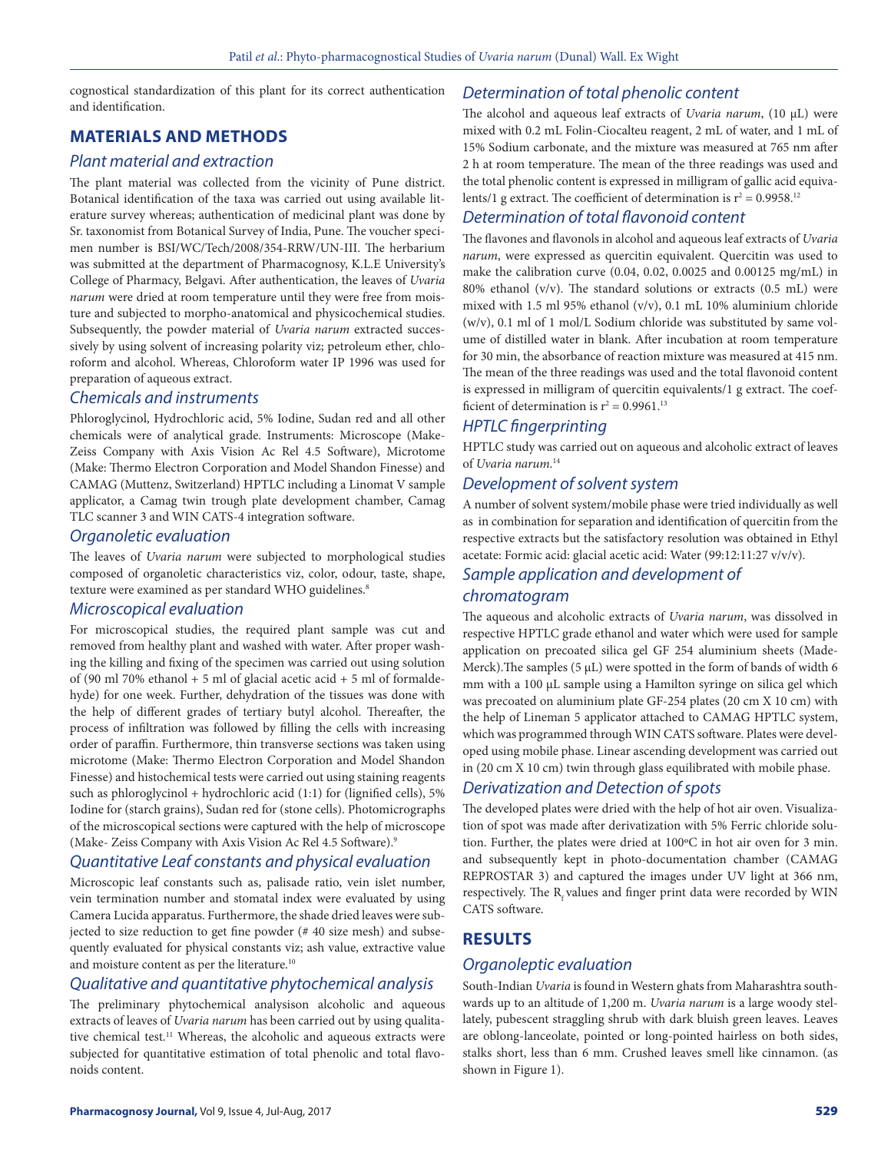cognostical standardization of this plant for its correct authentication and identification.

# **MATERIALS AND METHODS**

#### *Plant material and extraction*

The plant material was collected from the vicinity of Pune district. Botanical identification of the taxa was carried out using available literature survey whereas; authentication of medicinal plant was done by Sr. taxonomist from Botanical Survey of India, Pune. The voucher specimen number is BSI/WC/Tech/2008/354-RRW/UN-III. The herbarium was submitted at the department of Pharmacognosy, K.L.E University's College of Pharmacy, Belgavi. After authentication, the leaves of *Uvaria narum* were dried at room temperature until they were free from moisture and subjected to morpho-anatomical and physicochemical studies. Subsequently, the powder material of *Uvaria narum* extracted successively by using solvent of increasing polarity viz; petroleum ether, chloroform and alcohol. Whereas, Chloroform water IP 1996 was used for preparation of aqueous extract.

#### *Chemicals and instruments*

Phloroglycinol, Hydrochloric acid, 5% Iodine, Sudan red and all other chemicals were of analytical grade. Instruments: Microscope (Make-Zeiss Company with Axis Vision Ac Rel 4.5 Software), Microtome (Make: Thermo Electron Corporation and Model Shandon Finesse) and CAMAG (Muttenz, Switzerland) HPTLC including a Linomat V sample applicator, a Camag twin trough plate development chamber, Camag TLC scanner 3 and WIN CATS-4 integration software.

#### *Organoletic evaluation*

The leaves of *Uvaria narum* were subjected to morphological studies composed of organoletic characteristics viz, color, odour, taste, shape, texture were examined as per standard WHO guidelines.<sup>8</sup>

#### *Microscopical evaluation*

For microscopical studies, the required plant sample was cut and removed from healthy plant and washed with water. After proper washing the killing and fixing of the specimen was carried out using solution of (90 ml 70% ethanol  $+ 5$  ml of glacial acetic acid  $+ 5$  ml of formal dehyde) for one week. Further, dehydration of the tissues was done with the help of different grades of tertiary butyl alcohol. Thereafter, the process of infiltration was followed by filling the cells with increasing order of paraffin. Furthermore, thin transverse sections was taken using microtome (Make: Thermo Electron Corporation and Model Shandon Finesse) and histochemical tests were carried out using staining reagents such as phloroglycinol + hydrochloric acid (1:1) for (lignified cells), 5% Iodine for (starch grains), Sudan red for (stone cells). Photomicrographs of the microscopical sections were captured with the help of microscope (Make- Zeiss Company with Axis Vision Ac Rel 4.5 Software).9

#### *Quantitative Leaf constants and physical evaluation*

Microscopic leaf constants such as, palisade ratio, vein islet number, vein termination number and stomatal index were evaluated by using Camera Lucida apparatus. Furthermore, the shade dried leaves were subjected to size reduction to get fine powder (# 40 size mesh) and subsequently evaluated for physical constants viz; ash value, extractive value and moisture content as per the literature.<sup>10</sup>

#### *Qualitative and quantitative phytochemical analysis*

The preliminary phytochemical analysison alcoholic and aqueous extracts of leaves of *Uvaria narum* has been carried out by using qualitative chemical test.<sup>11</sup> Whereas, the alcoholic and aqueous extracts were subjected for quantitative estimation of total phenolic and total flavonoids content.

#### *Determination of total phenolic content*

The alcohol and aqueous leaf extracts of *Uvaria narum*, (10 µL) were mixed with 0.2 mL Folin-Ciocalteu reagent, 2 mL of water, and 1 mL of 15% Sodium carbonate, and the mixture was measured at 765 nm after 2 h at room temperature. The mean of the three readings was used and the total phenolic content is expressed in milligram of gallic acid equivalents/1 g extract. The coefficient of determination is  $r^2 = 0.9958$ .<sup>12</sup>

#### *Determination of total flavonoid content*

The flavones and flavonols in alcohol and aqueous leaf extracts of *Uvaria narum*, were expressed as quercitin equivalent. Quercitin was used to make the calibration curve (0.04, 0.02, 0.0025 and 0.00125 mg/mL) in 80% ethanol ( $v/v$ ). The standard solutions or extracts (0.5 mL) were mixed with 1.5 ml 95% ethanol (v/v), 0.1 mL 10% aluminium chloride (w/v), 0.1 ml of 1 mol/L Sodium chloride was substituted by same volume of distilled water in blank. After incubation at room temperature for 30 min, the absorbance of reaction mixture was measured at 415 nm. The mean of the three readings was used and the total flavonoid content is expressed in milligram of quercitin equivalents/1 g extract. The coefficient of determination is  $r^2 = 0.9961$ <sup>13</sup>

#### *HPTLC fingerprinting*

HPTLC study was carried out on aqueous and alcoholic extract of leaves of *Uvaria narum*. 14

#### *Development of solvent system*

A number of solvent system/mobile phase were tried individually as well as in combination for separation and identification of quercitin from the respective extracts but the satisfactory resolution was obtained in Ethyl acetate: Formic acid: glacial acetic acid: Water (99:12:11:27 v/v/v).

#### *Sample application and development of chromatogram*

The aqueous and alcoholic extracts of *Uvaria narum*, was dissolved in respective HPTLC grade ethanol and water which were used for sample application on precoated silica gel GF 254 aluminium sheets (Made-Merck). The samples ( $5 \mu L$ ) were spotted in the form of bands of width 6 mm with a 100 µL sample using a Hamilton syringe on silica gel which was precoated on aluminium plate GF-254 plates (20 cm X 10 cm) with the help of Lineman 5 applicator attached to CAMAG HPTLC system, which was programmed through WIN CATS software. Plates were developed using mobile phase. Linear ascending development was carried out in (20 cm X 10 cm) twin through glass equilibrated with mobile phase.

#### *Derivatization and Detection of spots*

The developed plates were dried with the help of hot air oven. Visualization of spot was made after derivatization with 5% Ferric chloride solution. Further, the plates were dried at 100ºC in hot air oven for 3 min. and subsequently kept in photo-documentation chamber (CAMAG REPROSTAR 3) and captured the images under UV light at 366 nm, respectively. The  $R_f$  values and finger print data were recorded by WIN CATS software.

# **RESULTS**

#### *Organoleptic evaluation*

South-Indian *Uvaria* is found in Western ghats from Maharashtra southwards up to an altitude of 1,200 m. *Uvaria narum* is a large woody stellately, pubescent straggling shrub with dark bluish green leaves. Leaves are oblong-lanceolate, pointed or long-pointed hairless on both sides, stalks short, less than 6 mm. Crushed leaves smell like cinnamon. (as shown in Figure 1).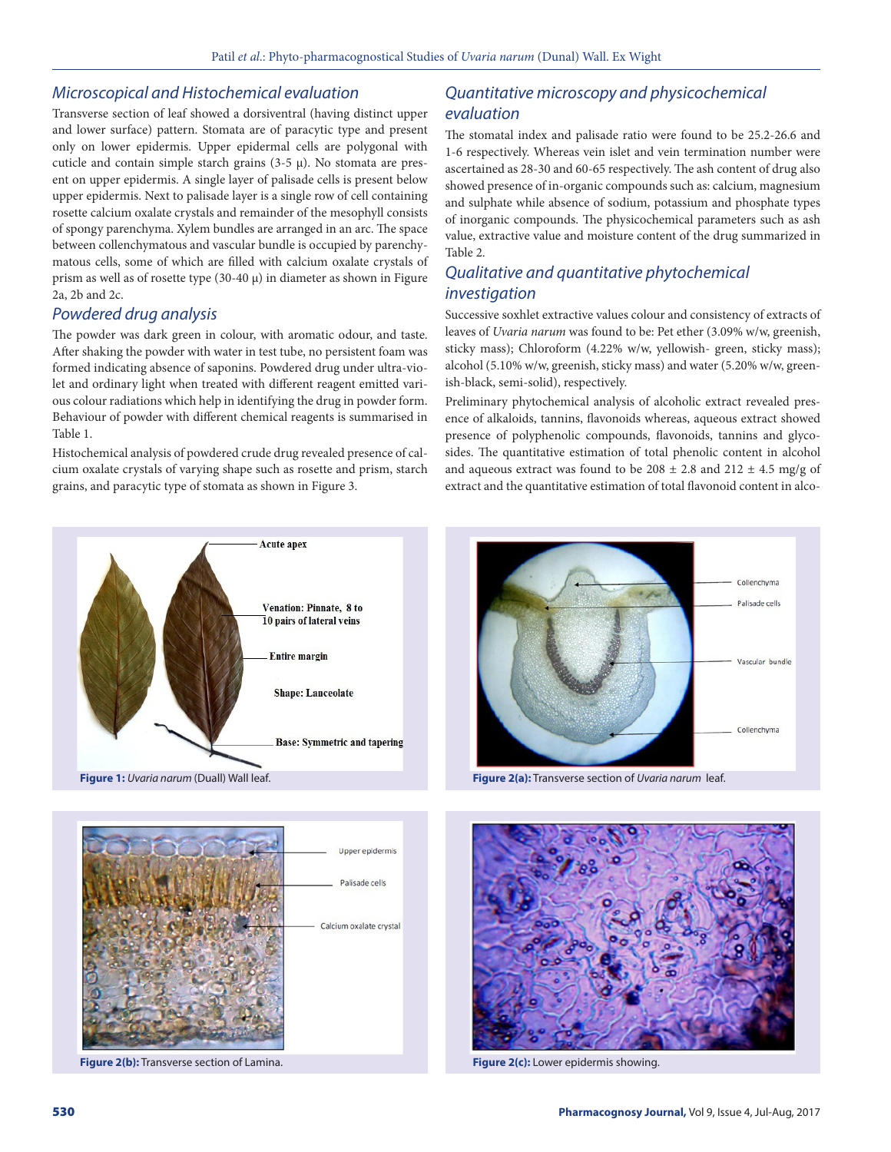#### *Microscopical and Histochemical evaluation*

Transverse section of leaf showed a dorsiventral (having distinct upper and lower surface) pattern. Stomata are of paracytic type and present only on lower epidermis. Upper epidermal cells are polygonal with cuticle and contain simple starch grains  $(3-5 \mu)$ . No stomata are present on upper epidermis. A single layer of palisade cells is present below upper epidermis. Next to palisade layer is a single row of cell containing rosette calcium oxalate crystals and remainder of the mesophyll consists of spongy parenchyma. Xylem bundles are arranged in an arc. The space between collenchymatous and vascular bundle is occupied by parenchymatous cells, some of which are filled with calcium oxalate crystals of prism as well as of rosette type  $(30-40 \mu)$  in diameter as shown in Figure 2a, 2b and 2c.

#### *Powdered drug analysis*

The powder was dark green in colour, with aromatic odour, and taste. After shaking the powder with water in test tube, no persistent foam was formed indicating absence of saponins. Powdered drug under ultra-violet and ordinary light when treated with different reagent emitted various colour radiations which help in identifying the drug in powder form. Behaviour of powder with different chemical reagents is summarised in Table 1.

Histochemical analysis of powdered crude drug revealed presence of calcium oxalate crystals of varying shape such as rosette and prism, starch grains, and paracytic type of stomata as shown in Figure 3.

# *Quantitative microscopy and physicochemical evaluation*

The stomatal index and palisade ratio were found to be 25.2-26.6 and 1-6 respectively. Whereas vein islet and vein termination number were ascertained as 28-30 and 60-65 respectively. The ash content of drug also showed presence of in-organic compounds such as: calcium, magnesium and sulphate while absence of sodium, potassium and phosphate types of inorganic compounds. The physicochemical parameters such as ash value, extractive value and moisture content of the drug summarized in Table 2.

# *Qualitative and quantitative phytochemical investigation*

Successive soxhlet extractive values colour and consistency of extracts of leaves of *Uvaria narum* was found to be: Pet ether (3.09% w/w, greenish, sticky mass); Chloroform (4.22% w/w, yellowish- green, sticky mass); alcohol (5.10% w/w, greenish, sticky mass) and water (5.20% w/w, greenish-black, semi-solid), respectively.

Preliminary phytochemical analysis of alcoholic extract revealed presence of alkaloids, tannins, flavonoids whereas, aqueous extract showed presence of polyphenolic compounds, flavonoids, tannins and glycosides. The quantitative estimation of total phenolic content in alcohol and aqueous extract was found to be  $208 \pm 2.8$  and  $212 \pm 4.5$  mg/g of extract and the quantitative estimation of total flavonoid content in alco-







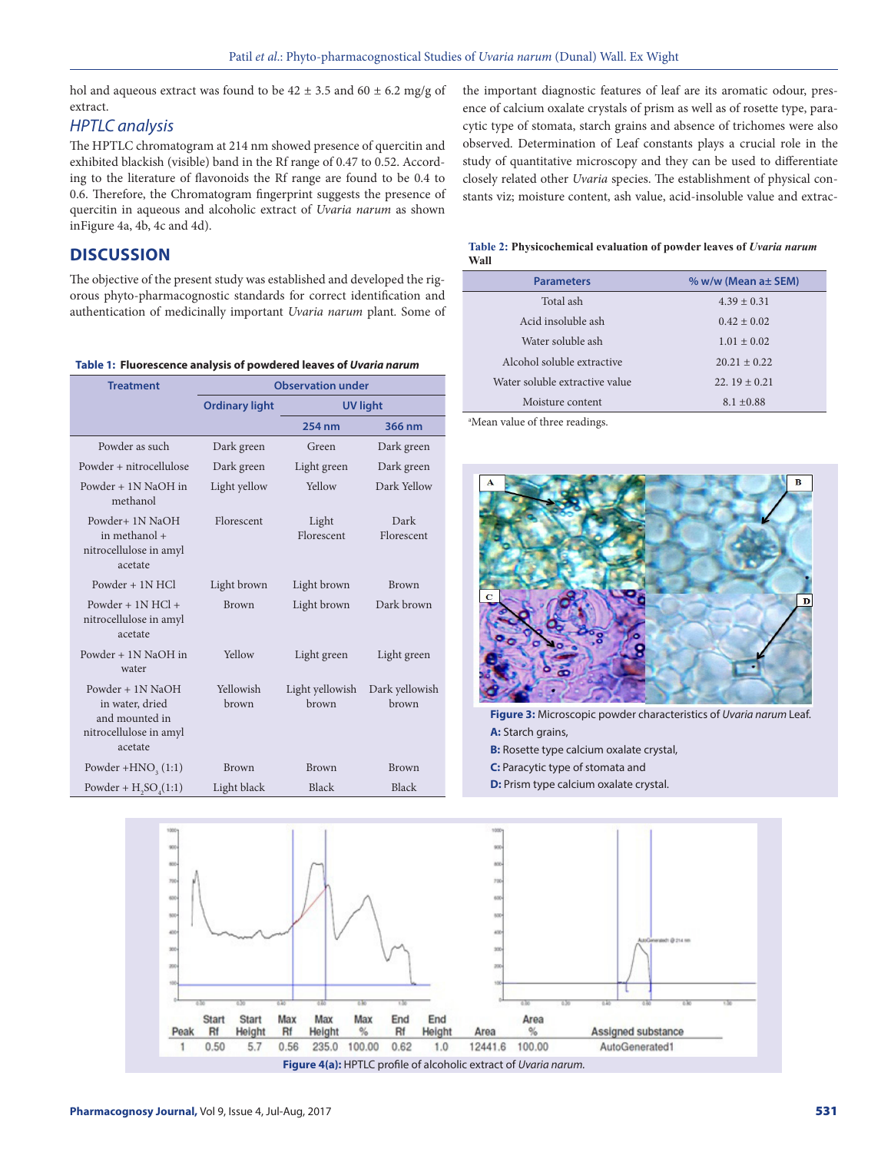hol and aqueous extract was found to be  $42 \pm 3.5$  and  $60 \pm 6.2$  mg/g of extract.

#### *HPTLC analysis*

The HPTLC chromatogram at 214 nm showed presence of quercitin and exhibited blackish (visible) band in the Rf range of 0.47 to 0.52. According to the literature of flavonoids the Rf range are found to be 0.4 to 0.6. Therefore, the Chromatogram fingerprint suggests the presence of quercitin in aqueous and alcoholic extract of *Uvaria narum* as shown inFigure 4a, 4b, 4c and 4d).

## **DISCUSSION**

The objective of the present study was established and developed the rigorous phyto-pharmacognostic standards for correct identification and authentication of medicinally important *Uvaria narum* plant*.* Some of

**Table 1: Fluorescence analysis of powdered leaves of** *Uvaria narum*

| <b>Treatment</b>                                                                             | <b>Observation under</b> |                          |                         |
|----------------------------------------------------------------------------------------------|--------------------------|--------------------------|-------------------------|
|                                                                                              | <b>Ordinary light</b>    | <b>UV light</b>          |                         |
|                                                                                              |                          | 254 nm                   | 366 nm                  |
| Powder as such                                                                               | Dark green               | Green                    | Dark green              |
| Powder + nitrocellulose                                                                      | Dark green               | Light green              | Dark green              |
| Powder + 1N NaOH in<br>methanol                                                              | Light yellow             | Yellow                   | Dark Yellow             |
| Powder+ 1N NaOH<br>in methanol +<br>nitrocellulose in amyl<br>acetate                        | Florescent               | Light<br>Florescent      | Dark<br>Florescent      |
| Powder + 1N HCl                                                                              | Light brown              | Light brown              | <b>Brown</b>            |
| Powder + $1N$ HCl +<br>nitrocellulose in amyl<br>acetate                                     | <b>Brown</b>             | Light brown              | Dark brown              |
| Powder + 1N NaOH in<br>water                                                                 | Yellow                   | Light green              | Light green             |
| Powder $+$ 1N NaOH<br>in water, dried<br>and mounted in<br>nitrocellulose in amyl<br>acetate | Yellowish<br>brown       | Light yellowish<br>brown | Dark yellowish<br>brown |
| Powder + $HNO3(1:1)$                                                                         | <b>Brown</b>             | <b>Brown</b>             | <b>Brown</b>            |
| Powder + $H2SO4(1:1)$                                                                        | Light black              | Black                    | Black                   |

the important diagnostic features of leaf are its aromatic odour, presence of calcium oxalate crystals of prism as well as of rosette type, paracytic type of stomata, starch grains and absence of trichomes were also observed. Determination of Leaf constants plays a crucial role in the study of quantitative microscopy and they can be used to differentiate closely related other *Uvaria* species. The establishment of physical constants viz; moisture content, ash value, acid-insoluble value and extrac-

| Table 2: Physicochemical evaluation of powder leaves of Uvaria narum |  |
|----------------------------------------------------------------------|--|
| Wall                                                                 |  |

| <b>Parameters</b>              | $% w/w$ (Mean a $\pm$ SEM) |  |
|--------------------------------|----------------------------|--|
| Total ash                      | $4.39 \pm 0.31$            |  |
| Acid insoluble ash             | $0.42 \pm 0.02$            |  |
| Water soluble ash              | $1.01 \pm 0.02$            |  |
| Alcohol soluble extractive     | $20.21 \pm 0.22$           |  |
| Water soluble extractive value | $22.19 \pm 0.21$           |  |
| Moisture content               | $8.1 + 0.88$               |  |
|                                |                            |  |

a Mean value of three readings.



**Figure 3:** Microscopic powder characteristics of *Uvaria narum* Leaf. **A:** Starch grains,

- **B:** Rosette type calcium oxalate crystal,
- **C:** Paracytic type of stomata and
- **D:** Prism type calcium oxalate crystal.

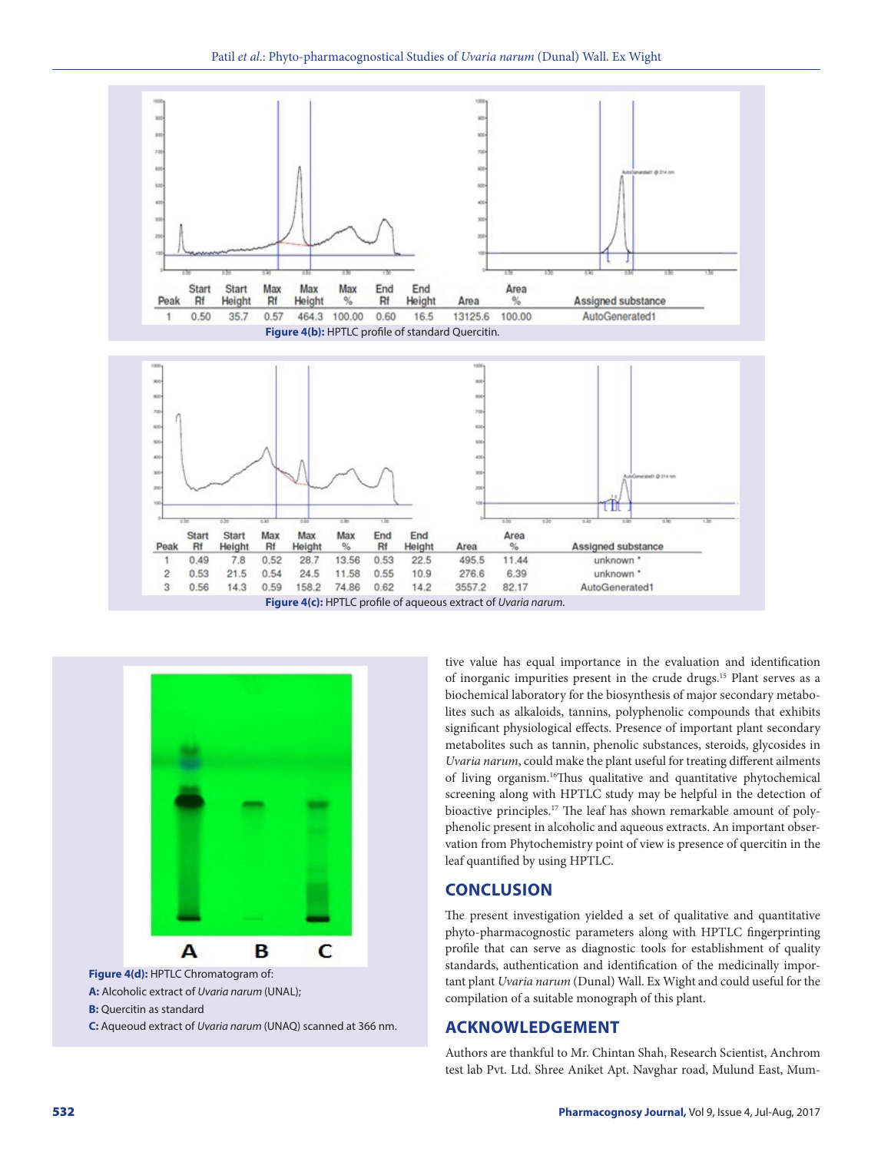





**B:** Quercitin as standard **C:** Aqueoud extract of *Uvaria narum* (UNAQ) scanned at 366 nm. tive value has equal importance in the evaluation and identification of inorganic impurities present in the crude drugs.15 Plant serves as a biochemical laboratory for the biosynthesis of major secondary metabolites such as alkaloids, tannins, polyphenolic compounds that exhibits significant physiological effects. Presence of important plant secondary metabolites such as tannin, phenolic substances, steroids, glycosides in *Uvaria narum*, could make the plant useful for treating different ailments of living organism.16Thus qualitative and quantitative phytochemical screening along with HPTLC study may be helpful in the detection of bioactive principles.17 The leaf has shown remarkable amount of polyphenolic present in alcoholic and aqueous extracts. An important observation from Phytochemistry point of view is presence of quercitin in the leaf quantified by using HPTLC.

#### **CONCLUSION**

The present investigation yielded a set of qualitative and quantitative phyto-pharmacognostic parameters along with HPTLC fingerprinting profile that can serve as diagnostic tools for establishment of quality standards, authentication and identification of the medicinally important plant *Uvaria narum* (Dunal) Wall. Ex Wight and could useful for the compilation of a suitable monograph of this plant.

#### **ACKNOWLEDGEMENT**

Authors are thankful to Mr. Chintan Shah, Research Scientist, Anchrom test lab Pvt. Ltd. Shree Aniket Apt. Navghar road, Mulund East, Mum